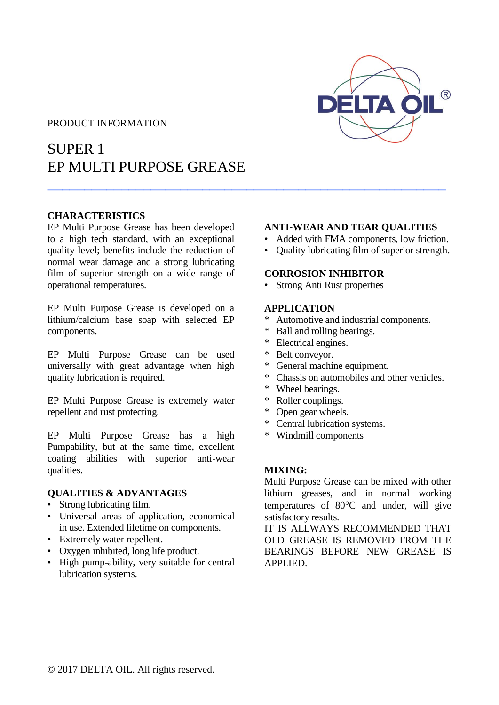## PRODUCT INFORMATION

# SUPER 1 EP MULTI PURPOSE GREASE

# **CHARACTERISTICS**

EP Multi Purpose Grease has been developed to a high tech standard, with an exceptional quality level; benefits include the reduction of normal wear damage and a strong lubricating film of superior strength on a wide range of operational temperatures.

EP Multi Purpose Grease is developed on a lithium/calcium base soap with selected EP components.

EP Multi Purpose Grease can be used universally with great advantage when high quality lubrication is required.

EP Multi Purpose Grease is extremely water repellent and rust protecting.

EP Multi Purpose Grease has a high Pumpability, but at the same time, excellent coating abilities with superior anti-wear qualities.

### **QUALITIES & ADVANTAGES**

- Strong lubricating film.
- Universal areas of application, economical in use. Extended lifetime on components.
- Extremely water repellent.
- Oxygen inhibited, long life product.
- High pump-ability, very suitable for central lubrication systems.

#### **ANTI-WEAR AND TEAR QUALITIES**

- Added with FMA components, low friction.
- Quality lubricating film of superior strength.

### **CORROSION INHIBITOR**

• Strong Anti Rust properties

#### **APPLICATION**

\_\_\_\_\_\_\_\_\_\_\_\_\_\_\_\_\_\_\_\_\_\_\_\_\_\_\_\_\_\_\_\_\_\_\_\_\_\_\_\_\_\_\_\_\_\_\_\_\_\_\_\_\_\_

- Automotive and industrial components.
- \* Ball and rolling bearings.
- \* Electrical engines.
- \* Belt conveyor.
- General machine equipment.
- \* Chassis on automobiles and other vehicles.
- \* Wheel bearings.
- \* Roller couplings.
- \* Open gear wheels.
- \* Central lubrication systems.
- \* Windmill components

#### **MIXING:**

Multi Purpose Grease can be mixed with other lithium greases, and in normal working temperatures of  $80^{\circ}$ C and under, will give satisfactory results.

IT IS ALLWAYS RECOMMENDED THAT OLD GREASE IS REMOVED FROM THE BEARINGS BEFORE NEW GREASE IS APPLIED.